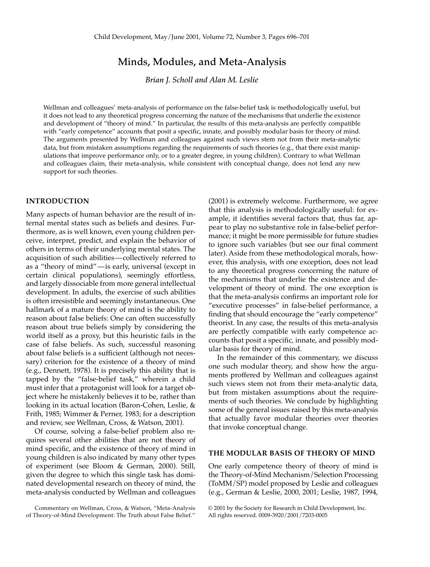# **Minds, Modules, and Meta-Analysis**

*Brian J. Scholl and Alan M. Leslie*

Wellman and colleagues' meta-analysis of performance on the false-belief task is methodologically useful, but it does not lead to any theoretical progress concerning the nature of the mechanisms that underlie the existence and development of "theory of mind." In particular, the results of this meta-analysis are perfectly compatible with "early competence" accounts that posit a specific, innate, and possibly modular basis for theory of mind. The arguments presented by Wellman and colleagues against such views stem not from their meta-analytic data, but from mistaken assumptions regarding the requirements of such theories (e.g., that there exist manipulations that improve performance only, or to a greater degree, in young children). Contrary to what Wellman and colleagues claim, their meta-analysis, while consistent with conceptual change, does not lend any new support for such theories.

### **INTRODUCTION**

Many aspects of human behavior are the result of internal mental states such as beliefs and desires. Furthermore, as is well known, even young children perceive, interpret, predict, and explain the behavior of others in terms of their underlying mental states. The acquisition of such abilities—collectively referred to as a "theory of mind"—is early, universal (except in certain clinical populations), seemingly effortless, and largely dissociable from more general intellectual development. In adults, the exercise of such abilities is often irresistible and seemingly instantaneous. One hallmark of a mature theory of mind is the ability to reason about false beliefs: One can often successfully reason about true beliefs simply by considering the world itself as a proxy, but this heuristic fails in the case of false beliefs. As such, successful reasoning about false beliefs is a sufficient (although not necessary) criterion for the existence of a theory of mind (e.g., Dennett, 1978). It is precisely this ability that is tapped by the "false-belief task," wherein a child must infer that a protagonist will look for a target object where he mistakenly believes it to be, rather than looking in its actual location (Baron-Cohen, Leslie, & Frith, 1985; Wimmer & Perner, 1983; for a description and review, see Wellman, Cross, & Watson, 2001).

Of course, solving a false-belief problem also requires several other abilities that are not theory of mind specific, and the existence of theory of mind in young children is also indicated by many other types of experiment (see Bloom & German, 2000). Still, given the degree to which this single task has dominated developmental research on theory of mind, the meta-analysis conducted by Wellman and colleagues

Commentary on Wellman, Cross, & Watson, "Meta-Analysis of Theory-of-Mind Development: The Truth about False Belief."

(2001) is extremely welcome. Furthermore, we agree that this analysis is methodologically useful: for example, it identifies several factors that, thus far, appear to play no substantive role in false-belief performance; it might be more permissible for future studies to ignore such variables (but see our final comment later). Aside from these methodological morals, however, this analysis, with one exception, does not lead to any theoretical progress concerning the nature of the mechanisms that underlie the existence and development of theory of mind. The one exception is that the meta-analysis confirms an important role for "executive processes" in false-belief performance, a finding that should encourage the "early competence" theorist. In any case, the results of this meta-analysis are perfectly compatible with early competence accounts that posit a specific, innate, and possibly modular basis for theory of mind.

In the remainder of this commentary, we discuss one such modular theory, and show how the arguments proffered by Wellman and colleagues against such views stem not from their meta-analytic data, but from mistaken assumptions about the requirements of such theories. We conclude by highlighting some of the general issues raised by this meta-analysis that actually favor modular theories over theories that invoke conceptual change.

#### **THE MODULAR BASIS OF THEORY OF MIND**

One early competence theory of theory of mind is the Theory-of-Mind Mechanism/Selection Processing (ToMM/SP) model proposed by Leslie and colleagues (e.g., German & Leslie, 2000, 2001; Leslie, 1987, 1994,

<sup>© 2001</sup> by the Society for Research in Child Development, Inc. All rights reserved. 0009-3920/2001/7203-0005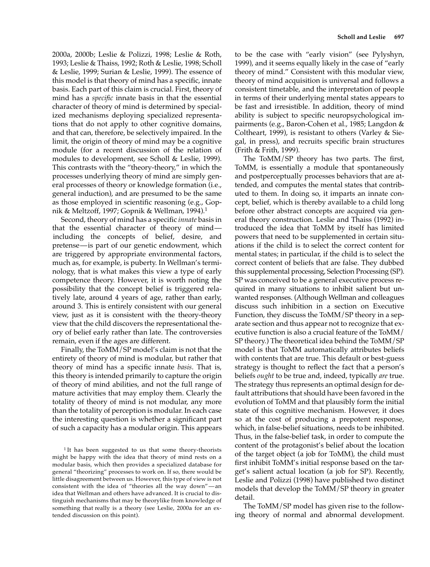2000a, 2000b; Leslie & Polizzi, 1998; Leslie & Roth, 1993; Leslie & Thaiss, 1992; Roth & Leslie, 1998; Scholl & Leslie, 1999; Surian & Leslie, 1999). The essence of this model is that theory of mind has a specific, innate basis. Each part of this claim is crucial. First, theory of mind has a *specific* innate basis in that the essential character of theory of mind is determined by specialized mechanisms deploying specialized representations that do not apply to other cognitive domains, and that can, therefore, be selectively impaired. In the limit, the origin of theory of mind may be a cognitive module (for a recent discussion of the relation of modules to development, see Scholl & Leslie, 1999). This contrasts with the "theory-theory," in which the processes underlying theory of mind are simply general processes of theory or knowledge formation (i.e., general induction), and are presumed to be the same as those employed in scientific reasoning (e.g., Gopnik & Meltzoff, 1997; Gopnik & Wellman, 1994).1

Second, theory of mind has a specific *innate* basis in that the essential character of theory of mind including the concepts of belief, desire, and pretense—is part of our genetic endowment, which are triggered by appropriate environmental factors, much as, for example, is puberty. In Wellman's terminology, that is what makes this view a type of early competence theory. However, it is worth noting the possibility that the concept belief is triggered relatively late, around 4 years of age, rather than early, around 3. This is entirely consistent with our general view, just as it is consistent with the theory-theory view that the child discovers the representational theory of belief early rather than late. The controversies remain, even if the ages are different.

Finally, the ToMM/SP model's claim is not that the entirety of theory of mind is modular, but rather that theory of mind has a specific innate *basis*. That is, this theory is intended primarily to capture the origin of theory of mind abilities, and not the full range of mature activities that may employ them. Clearly the totality of theory of mind is not modular, any more than the totality of perception is modular. In each case the interesting question is whether a significant part of such a capacity has a modular origin. This appears to be the case with "early vision" (see Pylyshyn, 1999), and it seems equally likely in the case of "early theory of mind." Consistent with this modular view, theory of mind acquisition is universal and follows a consistent timetable, and the interpretation of people in terms of their underlying mental states appears to be fast and irresistible. In addition, theory of mind ability is subject to specific neuropsychological impairments (e.g., Baron-Cohen et al., 1985; Langdon & Coltheart, 1999), is resistant to others (Varley & Siegal, in press), and recruits specific brain structures (Frith & Frith, 1999).

The ToMM/SP theory has two parts. The first, ToMM, is essentially a module that spontaneously and postperceptually processes behaviors that are attended, and computes the mental states that contributed to them. In doing so, it imparts an innate concept, belief, which is thereby available to a child long before other abstract concepts are acquired via general theory construction. Leslie and Thaiss (1992) introduced the idea that ToMM by itself has limited powers that need to be supplemented in certain situations if the child is to select the correct content for mental states; in particular, if the child is to select the correct content of beliefs that are false. They dubbed this supplemental processing, Selection Processing (SP). SP was conceived to be a general executive process required in many situations to inhibit salient but unwanted responses. (Although Wellman and colleagues discuss such inhibition in a section on Executive Function, they discuss the ToMM/SP theory in a separate section and thus appear not to recognize that executive function is also a crucial feature of the ToMM/ SP theory.) The theoretical idea behind the ToMM/SP model is that ToMM automatically attributes beliefs with contents that are true. This default or best-guess strategy is thought to reflect the fact that a person's beliefs *ought* to be true and, indeed, typically *are* true. The strategy thus represents an optimal design for default attributions that should have been favored in the evolution of ToMM and that plausibly form the initial state of this cognitive mechanism. However, it does so at the cost of producing a prepotent response, which, in false-belief situations, needs to be inhibited. Thus, in the false-belief task, in order to compute the content of the protagonist's belief about the location of the target object (a job for ToMM), the child must first inhibit ToMM's initial response based on the target's salient actual location (a job for SP). Recently, Leslie and Polizzi (1998) have published two distinct models that develop the ToMM/SP theory in greater detail.

The ToMM/SP model has given rise to the following theory of normal and abnormal development.

<sup>&</sup>lt;sup>1</sup>It has been suggested to us that some theory-theorists might be happy with the idea that theory of mind rests on a modular basis, which then provides a specialized database for general "theorizing" processes to work on. If so, there would be little disagreement between us. However, this type of view is not consistent with the idea of "theories all the way down"—an idea that Wellman and others have advanced. It is crucial to distinguish mechanisms that may be theorylike from knowledge of something that really is a theory (see Leslie, 2000a for an extended discussion on this point).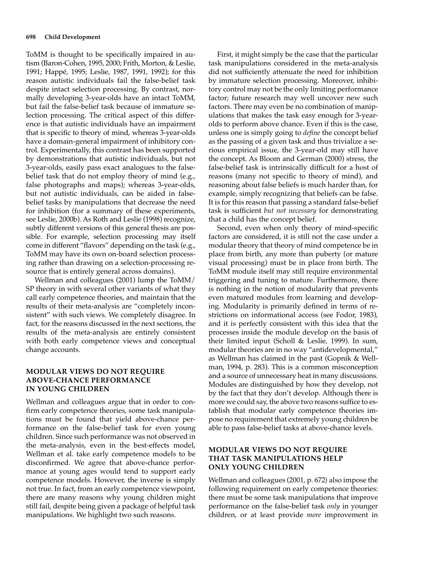ToMM is thought to be specifically impaired in autism (Baron-Cohen, 1995, 2000; Frith, Morton, & Leslie, 1991; Happé, 1995; Leslie, 1987, 1991, 1992); for this reason autistic individuals fail the false-belief task despite intact selection processing. By contrast, normally developing 3-year-olds have an intact ToMM, but fail the false-belief task because of immature selection processing. The critical aspect of this difference is that autistic individuals have an impairment that is specific to theory of mind, whereas 3-year-olds have a domain-general impairment of inhibitory control. Experimentally, this contrast has been supported by demonstrations that autistic individuals, but not 3-year-olds, easily pass exact analogues to the falsebelief task that do not employ theory of mind (e.g., false photographs and maps); whereas 3-year-olds, but not autistic individuals, can be aided in falsebelief tasks by manipulations that decrease the need for inhibition (for a summary of these experiments, see Leslie, 2000b). As Roth and Leslie (1998) recognize, subtly different versions of this general thesis are possible. For example, selection processing may itself come in different "flavors" depending on the task (e.g., ToMM may have its own on-board selection processing rather than drawing on a selection-processing resource that is entirely general across domains).

Wellman and colleagues (2001) lump the ToMM/ SP theory in with several other variants of what they call early competence theories, and maintain that the results of their meta-analysis are "completely inconsistent" with such views. We completely disagree. In fact, for the reasons discussed in the next sections, the results of the meta-analysis are entirely consistent with both early competence views and conceptual change accounts.

## **MODULAR VIEWS DO NOT REQUIRE ABOVE-CHANCE PERFORMANCE IN YOUNG CHILDREN**

Wellman and colleagues argue that in order to confirm early competence theories, some task manipulations must be found that yield above-chance performance on the false-belief task for even young children. Since such performance was not observed in the meta-analysis, even in the best-effects model, Wellman et al. take early competence models to be disconfirmed. We agree that above-chance performance at young ages would tend to support early competence models. However, the inverse is simply not true. In fact, from an early competence viewpoint, there are many reasons why young children might still fail, despite being given a package of helpful task manipulations. We highlight two such reasons.

First, it might simply be the case that the particular task manipulations considered in the meta-analysis did not sufficiently attenuate the need for inhibition by immature selection processing. Moreover, inhibitory control may not be the only limiting performance factor; future research may well uncover new such factors. There may even be no combination of manipulations that makes the task easy enough for 3-yearolds to perform above chance. Even if this is the case, unless one is simply going to *define* the concept belief as the passing of a given task and thus trivialize a serious empirical issue, the 3-year-old may still have the concept. As Bloom and German (2000) stress, the false-belief task is intrinsically difficult for a host of reasons (many not specific to theory of mind), and reasoning about false beliefs is much harder than, for example, simply recognizing that beliefs can be false. It is for this reason that passing a standard false-belief task is sufficient *but not necessary* for demonstrating that a child has the concept belief.

Second, even when only theory of mind-specific factors are considered, it is still not the case under a modular theory that theory of mind competence be in place from birth, any more than puberty (or mature visual processing) must be in place from birth. The ToMM module itself may still require environmental triggering and tuning to mature. Furthermore, there is nothing in the notion of modularity that prevents even matured modules from learning and developing. Modularity is primarily defined in terms of restrictions on informational access (see Fodor, 1983), and it is perfectly consistent with this idea that the processes inside the module develop on the basis of their limited input (Scholl & Leslie, 1999). In sum, modular theories are in no way "antidevelopmental," as Wellman has claimed in the past (Gopnik & Wellman, 1994, p. 283). This is a common misconception and a source of unnecessary heat in many discussions. Modules are distinguished by how they develop, not by the fact that they don't develop. Although there is more we could say, the above two reasons suffice to establish that modular early competence theories impose no requirement that extremely young children be able to pass false-belief tasks at above-chance levels.

# **MODULAR VIEWS DO NOT REQUIRE THAT TASK MANIPULATIONS HELP ONLY YOUNG CHILDREN**

Wellman and colleagues (2001, p. 672) also impose the following requirement on early competence theories: there must be some task manipulations that improve performance on the false-belief task *only* in younger children, or at least provide *more* improvement in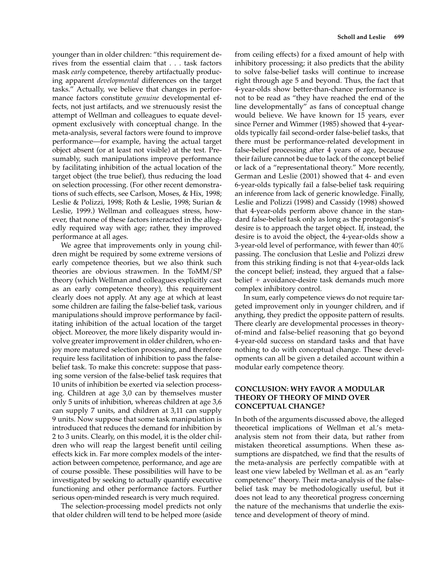younger than in older children: "this requirement derives from the essential claim that . . . task factors mask *early* competence, thereby artifactually producing apparent *developmental* differences on the target tasks." Actually, we believe that changes in performance factors constitute *genuine* developmental effects, not just artifacts, and we strenuously resist the attempt of Wellman and colleagues to equate development exclusively with conceptual change. In the meta-analysis, several factors were found to improve performance—for example, having the actual target object absent (or at least not visible) at the test. Presumably, such manipulations improve performance by facilitating inhibition of the actual location of the target object (the true belief), thus reducing the load on selection processing. (For other recent demonstrations of such effects, see Carlson, Moses, & Hix, 1998; Leslie & Polizzi, 1998; Roth & Leslie, 1998; Surian & Leslie, 1999.) Wellman and colleagues stress, however, that none of these factors interacted in the allegedly required way with age; rather, they improved performance at all ages.

We agree that improvements only in young children might be required by some extreme versions of early competence theories, but we also think such theories are obvious strawmen. In the ToMM/SP theory (which Wellman and colleagues explicitly cast as an early competence theory), this requirement clearly does not apply. At any age at which at least some children are failing the false-belief task, various manipulations should improve performance by facilitating inhibition of the actual location of the target object. Moreover, the more likely disparity would involve greater improvement in older children, who enjoy more matured selection processing, and therefore require less facilitation of inhibition to pass the falsebelief task. To make this concrete: suppose that passing some version of the false-belief task requires that 10 units of inhibition be exerted via selection processing. Children at age 3,0 can by themselves muster only 5 units of inhibition, whereas children at age 3,6 can supply 7 units, and children at 3,11 can supply 9 units. Now suppose that some task manipulation is introduced that reduces the demand for inhibition by 2 to 3 units. Clearly, on this model, it is the older children who will reap the largest benefit until ceiling effects kick in. Far more complex models of the interaction between competence, performance, and age are of course possible. These possibilities will have to be investigated by seeking to actually quantify executive functioning and other performance factors. Further serious open-minded research is very much required.

The selection-processing model predicts not only that older children will tend to be helped more (aside

from ceiling effects) for a fixed amount of help with inhibitory processing; it also predicts that the ability to solve false-belief tasks will continue to increase right through age 5 and beyond. Thus, the fact that 4-year-olds show better-than-chance performance is not to be read as "they have reached the end of the line developmentally" as fans of conceptual change would believe. We have known for 15 years, ever since Perner and Wimmer (1985) showed that 4-yearolds typically fail second-order false-belief tasks, that there must be performance-related development in false-belief processing after 4 years of age, because their failure cannot be due to lack of the concept belief or lack of a "representational theory." More recently, German and Leslie (2001) showed that 4- and even 6-year-olds typically fail a false-belief task requiring an inference from lack of generic knowledge. Finally, Leslie and Polizzi (1998) and Cassidy (1998) showed that 4-year-olds perform above chance in the standard false-belief task only as long as the protagonist's desire is to approach the target object. If, instead, the desire is to avoid the object, the 4-year-olds show a 3-year-old level of performance, with fewer than 40% passing. The conclusion that Leslie and Polizzi drew from this striking finding is not that 4-year-olds lack the concept belief; instead, they argued that a falsebelief - avoidance-desire task demands much more complex inhibitory control.

In sum, early competence views do not require targeted improvement only in younger children, and if anything, they predict the opposite pattern of results. There clearly are developmental processes in theoryof-mind and false-belief reasoning that go beyond 4-year-old success on standard tasks and that have nothing to do with conceptual change. These developments can all be given a detailed account within a modular early competence theory.

### **CONCLUSION: WHY FAVOR A MODULAR THEORY OF THEORY OF MIND OVER CONCEPTUAL CHANGE?**

In both of the arguments discussed above, the alleged theoretical implications of Wellman et al.'s metaanalysis stem not from their data, but rather from mistaken theoretical assumptions. When these assumptions are dispatched, we find that the results of the meta-analysis are perfectly compatible with at least one view labeled by Wellman et al. as an "early competence" theory. Their meta-analysis of the falsebelief task may be methodologically useful, but it does not lead to any theoretical progress concerning the nature of the mechanisms that underlie the existence and development of theory of mind.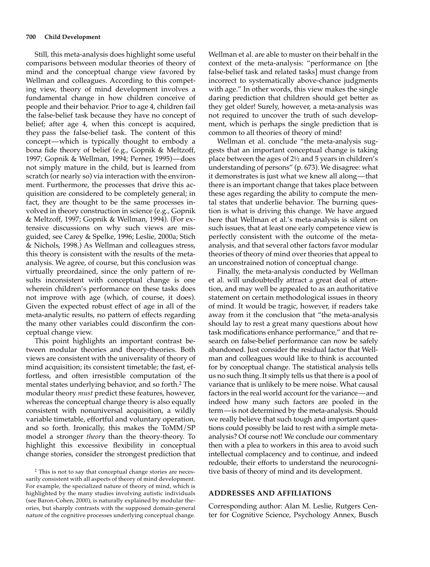Still, this meta-analysis does highlight some useful comparisons between modular theories of theory of mind and the conceptual change view favored by Wellman and colleagues. According to this competing view, theory of mind development involves a fundamental change in how children conceive of people and their behavior. Prior to age 4, children fail the false-belief task because they have no concept of belief; after age 4, when this concept is acquired, they pass the false-belief task. The content of this concept—which is typically thought to embody a bona fide theory of belief (e.g., Gopnik & Meltzoff, 1997; Gopnik & Wellman, 1994; Perner, 1995)—does not simply mature in the child, but is learned from scratch (or nearly so) via interaction with the environment. Furthermore, the processes that drive this acquisition are considered to be completely general; in fact, they are thought to be the same processes involved in theory construction in science (e.g., Gopnik & Meltzoff, 1997; Gopnik & Wellman, 1994). (For extensive discussions on why such views are misguided, see Carey & Spelke, 1996; Leslie, 2000a; Stich & Nichols, 1998.) As Wellman and colleagues stress, this theory is consistent with the results of the metaanalysis. We agree, of course, but this conclusion was virtually preordained, since the only pattern of results inconsistent with conceptual change is one wherein children's performance on these tasks does not improve with age (which, of course, it does). Given the expected robust effect of age in all of the meta-analytic results, no pattern of effects regarding the many other variables could disconfirm the conceptual change view.

This point highlights an important contrast between modular theories and theory-theories. Both views are consistent with the universality of theory of mind acquisition; its consistent timetable; the fast, effortless, and often irresistible computation of the mental states underlying behavior, and so forth.2 The modular theory *must* predict these features, however, whereas the conceptual change theory is also equally consistent with nonuniversal acquisition, a wildly variable timetable, effortful and voluntary operation, and so forth. Ironically, this makes the ToMM/SP model a stronger *theory* than the theory-theory. To highlight this excessive flexibility in conceptual change stories, consider the strongest prediction that

<sup>2</sup> This is not to say that conceptual change stories are necessarily consistent with all aspects of theory of mind development. For example, the specialized nature of theory of mind, which is highlighted by the many studies involving autistic individuals (see Baron-Cohen, 2000), is naturally explained by modular theories, but sharply contrasts with the supposed domain-general nature of the cognitive processes underlying conceptual change. Wellman et al. are able to muster on their behalf in the context of the meta-analysis: "performance on [the false-belief task and related tasks] must change from incorrect to systematically above-chance judgments with age." In other words, this view makes the single daring prediction that children should get better as they get older! Surely, however, a meta-analysis was not required to uncover the truth of such development, which is perhaps the single prediction that is common to all theories of theory of mind!

Wellman et al. conclude "the meta-analysis suggests that an important conceptual change is taking place between the ages of 2½ and 5 years in children's understanding of persons" (p. 673). We disagree: what it demonstrates is just what we knew all along—that there is an important change that takes place between these ages regarding the ability to compute the mental states that underlie behavior. The burning question is what is driving this change. We have argued here that Wellman et al.'s meta-analysis is silent on such issues, that at least one early competence view is perfectly consistent with the outcome of the metaanalysis, and that several other factors favor modular theories of theory of mind over theories that appeal to an unconstrained notion of conceptual change.

Finally, the meta-analysis conducted by Wellman et al. will undoubtedly attract a great deal of attention, and may well be appealed to as an authoritative statement on certain methodological issues in theory of mind. It would be tragic, however, if readers take away from it the conclusion that "the meta-analysis should lay to rest a great many questions about how task modifications enhance performance," and that research on false-belief performance can now be safely abandoned. Just consider the residual factor that Wellman and colleagues would like to think is accounted for by conceptual change. The statistical analysis tells us no such thing. It simply tells us that there is a pool of variance that is unlikely to be mere noise. What causal factors in the real world account for the variance—and indeed how many such factors are pooled in the term—is not determined by the meta-analysis. Should we really believe that such tough and important questions could possibly be laid to rest with a simple metaanalysis? Of course not! We conclude our commentary then with a plea to workers in this area to avoid such intellectual complacency and to continue, and indeed redouble, their efforts to understand the neurocognitive basis of theory of mind and its development.

### **ADDRESSES AND AFFILIATIONS**

Corresponding author: Alan M. Leslie, Rutgers Center for Cognitive Science, Psychology Annex, Busch